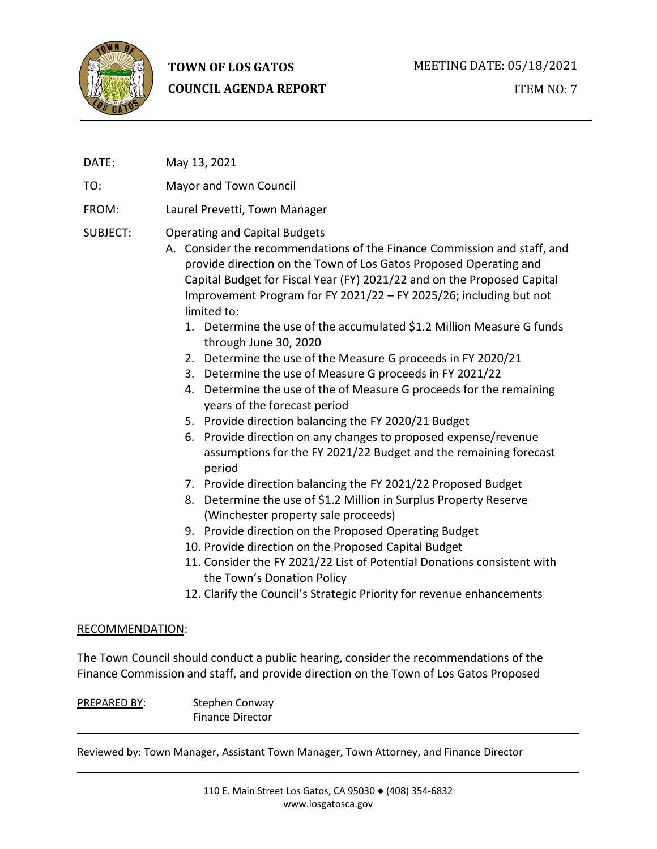

# **TOWN OF LOS GATOS COUNCIL AGENDA REPORT**

DATE: May 13, 2021

TO: Mayor and Town Council

# FROM: Laurel Prevetti, Town Manager

# SUBJECT: Operating and Capital Budgets

- A. Consider the recommendations of the Finance Commission and staff, and provide direction on the Town of Los Gatos Proposed Operating and Capital Budget for Fiscal Year (FY) 2021/22 and on the Proposed Capital Improvement Program for FY 2021/22 – FY 2025/26; including but not limited to:
	- 1. Determine the use of the accumulated \$1.2 Million Measure G funds through June 30, 2020
	- 2. Determine the use of the Measure G proceeds in FY 2020/21
	- 3. Determine the use of Measure G proceeds in FY 2021/22
	- 4. Determine the use of the of Measure G proceeds for the remaining years of the forecast period
	- 5. Provide direction balancing the FY 2020/21 Budget
	- 6. Provide direction on any changes to proposed expense/revenue assumptions for the FY 2021/22 Budget and the remaining forecast period
	- 7. Provide direction balancing the FY 2021/22 Proposed Budget
	- 8. Determine the use of \$1.2 Million in Surplus Property Reserve (Winchester property sale proceeds)
	- 9. Provide direction on the Proposed Operating Budget
	- 10. Provide direction on the Proposed Capital Budget
	- 11. Consider the FY 2021/22 List of Potential Donations consistent with the Town's Donation Policy
	- 12. Clarify the Council's Strategic Priority for revenue enhancements

#### RECOMMENDATION:

The Town Council should conduct a public hearing, consider the recommendations of the Finance Commission and staff, and provide direction on the Town of Los Gatos Proposed

PREPARED BY: Stephen Conway Finance Director

Reviewed by: Town Manager, Assistant Town Manager, Town Attorney, and Finance Director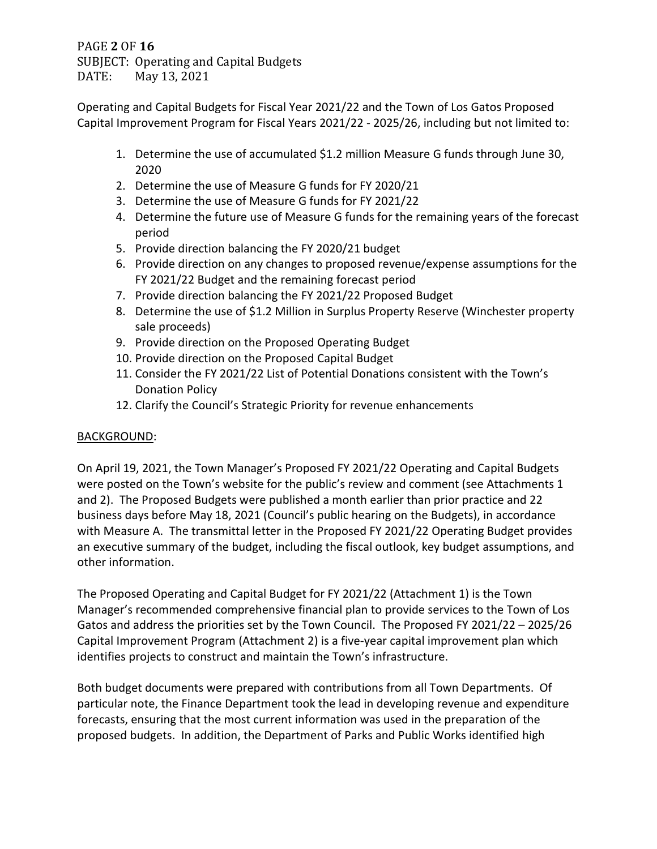PAGE **2** OF **16** SUBJECT: Operating and Capital Budgets<br>DATE: May 13, 2021 May 13, 2021

Operating and Capital Budgets for Fiscal Year 2021/22 and the Town of Los Gatos Proposed Capital Improvement Program for Fiscal Years 2021/22 - 2025/26, including but not limited to:

- 1. Determine the use of accumulated \$1.2 million Measure G funds through June 30, 2020
- 2. Determine the use of Measure G funds for FY 2020/21
- 3. Determine the use of Measure G funds for FY 2021/22
- 4. Determine the future use of Measure G funds for the remaining years of the forecast period
- 5. Provide direction balancing the FY 2020/21 budget
- 6. Provide direction on any changes to proposed revenue/expense assumptions for the FY 2021/22 Budget and the remaining forecast period
- 7. Provide direction balancing the FY 2021/22 Proposed Budget
- 8. Determine the use of \$1.2 Million in Surplus Property Reserve (Winchester property sale proceeds)
- 9. Provide direction on the Proposed Operating Budget
- 10. Provide direction on the Proposed Capital Budget
- 11. Consider the FY 2021/22 List of Potential Donations consistent with the Town's Donation Policy
- 12. Clarify the Council's Strategic Priority for revenue enhancements

# BACKGROUND:

On April 19, 2021, the Town Manager's Proposed FY 2021/22 Operating and Capital Budgets were posted on the Town's website for the public's review and comment (see Attachments 1 and 2). The Proposed Budgets were published a month earlier than prior practice and 22 business days before May 18, 2021 (Council's public hearing on the Budgets), in accordance with Measure A. The transmittal letter in the Proposed FY 2021/22 Operating Budget provides an executive summary of the budget, including the fiscal outlook, key budget assumptions, and other information.

The Proposed Operating and Capital Budget for FY 2021/22 (Attachment 1) is the Town Manager's recommended comprehensive financial plan to provide services to the Town of Los Gatos and address the priorities set by the Town Council. The Proposed FY 2021/22 – 2025/26 Capital Improvement Program (Attachment 2) is a five-year capital improvement plan which identifies projects to construct and maintain the Town's infrastructure.

Both budget documents were prepared with contributions from all Town Departments. Of particular note, the Finance Department took the lead in developing revenue and expenditure forecasts, ensuring that the most current information was used in the preparation of the proposed budgets. In addition, the Department of Parks and Public Works identified high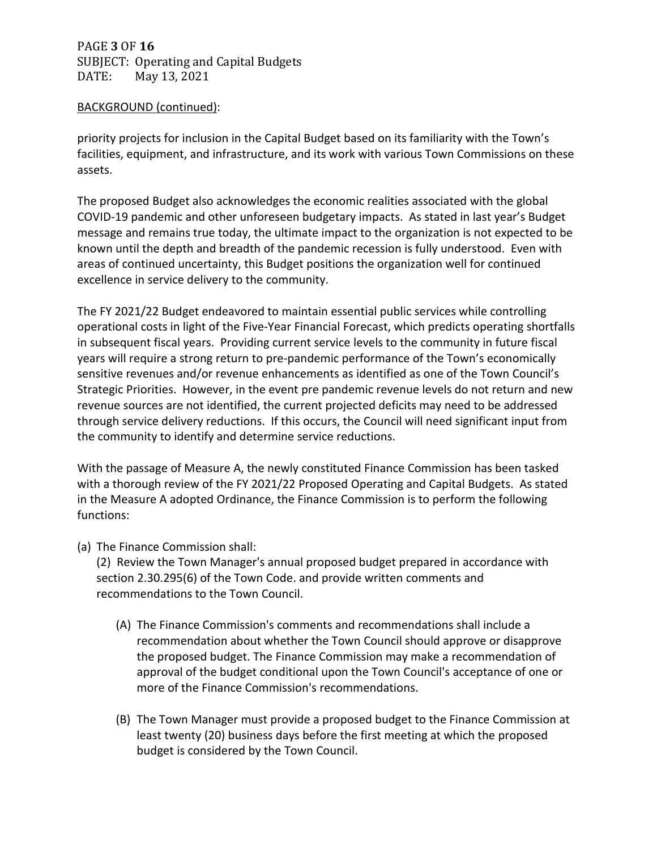PAGE **3** OF **16** SUBJECT: Operating and Capital Budgets<br>DATE: May 13, 2021 May 13, 2021

### BACKGROUND (continued):

priority projects for inclusion in the Capital Budget based on its familiarity with the Town's facilities, equipment, and infrastructure, and its work with various Town Commissions on these assets.

The proposed Budget also acknowledges the economic realities associated with the global COVID-19 pandemic and other unforeseen budgetary impacts. As stated in last year's Budget message and remains true today, the ultimate impact to the organization is not expected to be known until the depth and breadth of the pandemic recession is fully understood. Even with areas of continued uncertainty, this Budget positions the organization well for continued excellence in service delivery to the community.

The FY 2021/22 Budget endeavored to maintain essential public services while controlling operational costs in light of the Five-Year Financial Forecast, which predicts operating shortfalls in subsequent fiscal years. Providing current service levels to the community in future fiscal years will require a strong return to pre-pandemic performance of the Town's economically sensitive revenues and/or revenue enhancements as identified as one of the Town Council's Strategic Priorities. However, in the event pre pandemic revenue levels do not return and new revenue sources are not identified, the current projected deficits may need to be addressed through service delivery reductions. If this occurs, the Council will need significant input from the community to identify and determine service reductions.

With the passage of Measure A, the newly constituted Finance Commission has been tasked with a thorough review of the FY 2021/22 Proposed Operating and Capital Budgets. As stated in the Measure A adopted Ordinance, the Finance Commission is to perform the following functions:

(a) The Finance Commission shall:

(2) Review the Town Manager's annual proposed budget prepared in accordance with section 2.30.295(6) of the Town Code. and provide written comments and recommendations to the Town Council.

- (A) The Finance Commission's comments and recommendations shall include a recommendation about whether the Town Council should approve or disapprove the proposed budget. The Finance Commission may make a recommendation of approval of the budget conditional upon the Town Council's acceptance of one or more of the Finance Commission's recommendations.
- (B) The Town Manager must provide a proposed budget to the Finance Commission at least twenty (20) business days before the first meeting at which the proposed budget is considered by the Town Council.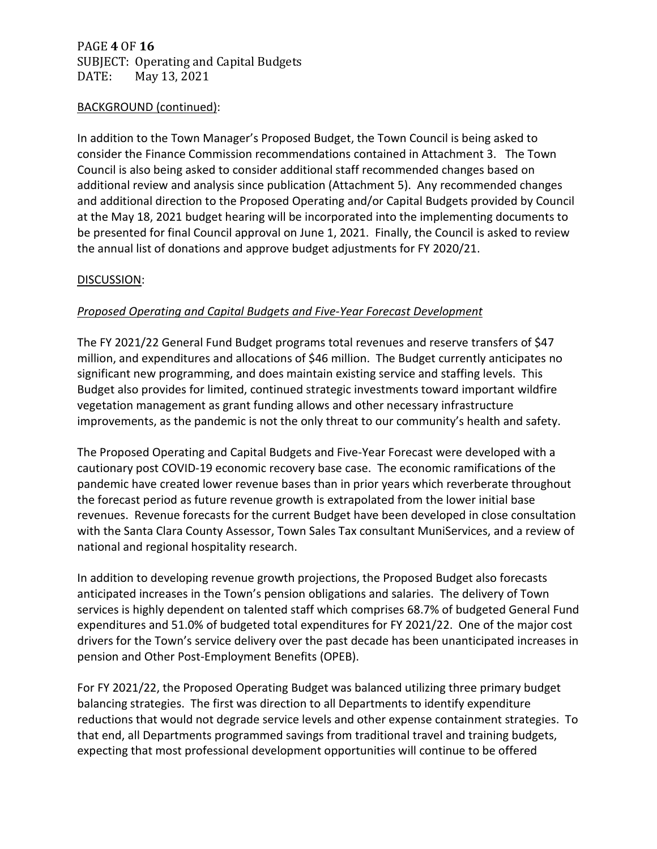# PAGE **4** OF **16** SUBJECT: Operating and Capital Budgets<br>DATE: May 13, 2021 May 13, 2021

## BACKGROUND (continued):

In addition to the Town Manager's Proposed Budget, the Town Council is being asked to consider the Finance Commission recommendations contained in Attachment 3. The Town Council is also being asked to consider additional staff recommended changes based on additional review and analysis since publication (Attachment 5). Any recommended changes and additional direction to the Proposed Operating and/or Capital Budgets provided by Council at the May 18, 2021 budget hearing will be incorporated into the implementing documents to be presented for final Council approval on June 1, 2021. Finally, the Council is asked to review the annual list of donations and approve budget adjustments for FY 2020/21.

## DISCUSSION:

### *Proposed Operating and Capital Budgets and Five-Year Forecast Development*

The FY 2021/22 General Fund Budget programs total revenues and reserve transfers of \$47 million, and expenditures and allocations of \$46 million. The Budget currently anticipates no significant new programming, and does maintain existing service and staffing levels. This Budget also provides for limited, continued strategic investments toward important wildfire vegetation management as grant funding allows and other necessary infrastructure improvements, as the pandemic is not the only threat to our community's health and safety.

The Proposed Operating and Capital Budgets and Five-Year Forecast were developed with a cautionary post COVID-19 economic recovery base case. The economic ramifications of the pandemic have created lower revenue bases than in prior years which reverberate throughout the forecast period as future revenue growth is extrapolated from the lower initial base revenues. Revenue forecasts for the current Budget have been developed in close consultation with the Santa Clara County Assessor, Town Sales Tax consultant MuniServices, and a review of national and regional hospitality research.

In addition to developing revenue growth projections, the Proposed Budget also forecasts anticipated increases in the Town's pension obligations and salaries. The delivery of Town services is highly dependent on talented staff which comprises 68.7% of budgeted General Fund expenditures and 51.0% of budgeted total expenditures for FY 2021/22. One of the major cost drivers for the Town's service delivery over the past decade has been unanticipated increases in pension and Other Post-Employment Benefits (OPEB).

For FY 2021/22, the Proposed Operating Budget was balanced utilizing three primary budget balancing strategies. The first was direction to all Departments to identify expenditure reductions that would not degrade service levels and other expense containment strategies. To that end, all Departments programmed savings from traditional travel and training budgets, expecting that most professional development opportunities will continue to be offered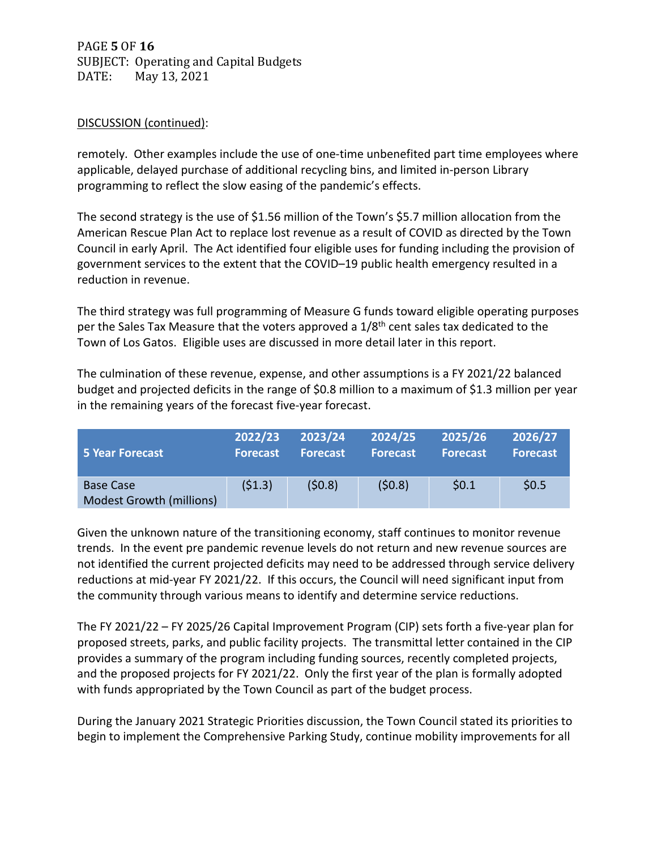PAGE **5** OF **16** SUBJECT: Operating and Capital Budgets<br>DATE: May 13, 2021 May 13, 2021

## DISCUSSION (continued):

remotely. Other examples include the use of one-time unbenefited part time employees where applicable, delayed purchase of additional recycling bins, and limited in-person Library programming to reflect the slow easing of the pandemic's effects.

The second strategy is the use of \$1.56 million of the Town's \$5.7 million allocation from the American Rescue Plan Act to replace lost revenue as a result of COVID as directed by the Town Council in early April. The Act identified four eligible uses for funding including the provision of government services to the extent that the COVID–19 public health emergency resulted in a reduction in revenue.

The third strategy was full programming of Measure G funds toward eligible operating purposes per the Sales Tax Measure that the voters approved a 1/8<sup>th</sup> cent sales tax dedicated to the Town of Los Gatos. Eligible uses are discussed in more detail later in this report.

The culmination of these revenue, expense, and other assumptions is a FY 2021/22 balanced budget and projected deficits in the range of \$0.8 million to a maximum of \$1.3 million per year in the remaining years of the forecast five-year forecast.

| 5 Year Forecast                              | 2022/23         | 2023/24         | 2024/25         | 2025/26         | 2026/27         |
|----------------------------------------------|-----------------|-----------------|-----------------|-----------------|-----------------|
|                                              | <b>Forecast</b> | <b>Forecast</b> | <b>Forecast</b> | <b>Forecast</b> | <b>Forecast</b> |
| <b>Base Case</b><br>Modest Growth (millions) | (51.3)          | (50.8)          | (50.8)          | \$0.1           | \$0.5           |

Given the unknown nature of the transitioning economy, staff continues to monitor revenue trends. In the event pre pandemic revenue levels do not return and new revenue sources are not identified the current projected deficits may need to be addressed through service delivery reductions at mid-year FY 2021/22. If this occurs, the Council will need significant input from the community through various means to identify and determine service reductions.

The FY 2021/22 – FY 2025/26 Capital Improvement Program (CIP) sets forth a five-year plan for proposed streets, parks, and public facility projects. The transmittal letter contained in the CIP provides a summary of the program including funding sources, recently completed projects, and the proposed projects for FY 2021/22. Only the first year of the plan is formally adopted with funds appropriated by the Town Council as part of the budget process.

During the January 2021 Strategic Priorities discussion, the Town Council stated its priorities to begin to implement the Comprehensive Parking Study, continue mobility improvements for all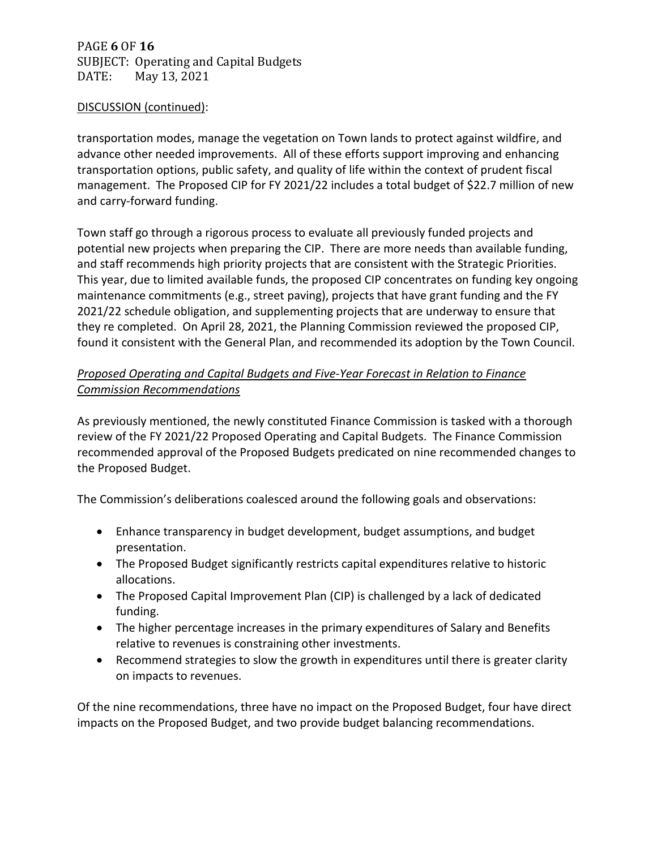PAGE **6** OF **16** SUBJECT: Operating and Capital Budgets<br>DATE: May 13, 2021 May 13, 2021

### DISCUSSION (continued):

transportation modes, manage the vegetation on Town lands to protect against wildfire, and advance other needed improvements. All of these efforts support improving and enhancing transportation options, public safety, and quality of life within the context of prudent fiscal management. The Proposed CIP for FY 2021/22 includes a total budget of \$22.7 million of new and carry-forward funding.

Town staff go through a rigorous process to evaluate all previously funded projects and potential new projects when preparing the CIP. There are more needs than available funding, and staff recommends high priority projects that are consistent with the Strategic Priorities. This year, due to limited available funds, the proposed CIP concentrates on funding key ongoing maintenance commitments (e.g., street paving), projects that have grant funding and the FY 2021/22 schedule obligation, and supplementing projects that are underway to ensure that they re completed. On April 28, 2021, the Planning Commission reviewed the proposed CIP, found it consistent with the General Plan, and recommended its adoption by the Town Council.

# *Proposed Operating and Capital Budgets and Five-Year Forecast in Relation to Finance Commission Recommendations*

As previously mentioned, the newly constituted Finance Commission is tasked with a thorough review of the FY 2021/22 Proposed Operating and Capital Budgets. The Finance Commission recommended approval of the Proposed Budgets predicated on nine recommended changes to the Proposed Budget.

The Commission's deliberations coalesced around the following goals and observations:

- Enhance transparency in budget development, budget assumptions, and budget presentation.
- The Proposed Budget significantly restricts capital expenditures relative to historic allocations.
- The Proposed Capital Improvement Plan (CIP) is challenged by a lack of dedicated funding.
- The higher percentage increases in the primary expenditures of Salary and Benefits relative to revenues is constraining other investments.
- Recommend strategies to slow the growth in expenditures until there is greater clarity on impacts to revenues.

Of the nine recommendations, three have no impact on the Proposed Budget, four have direct impacts on the Proposed Budget, and two provide budget balancing recommendations.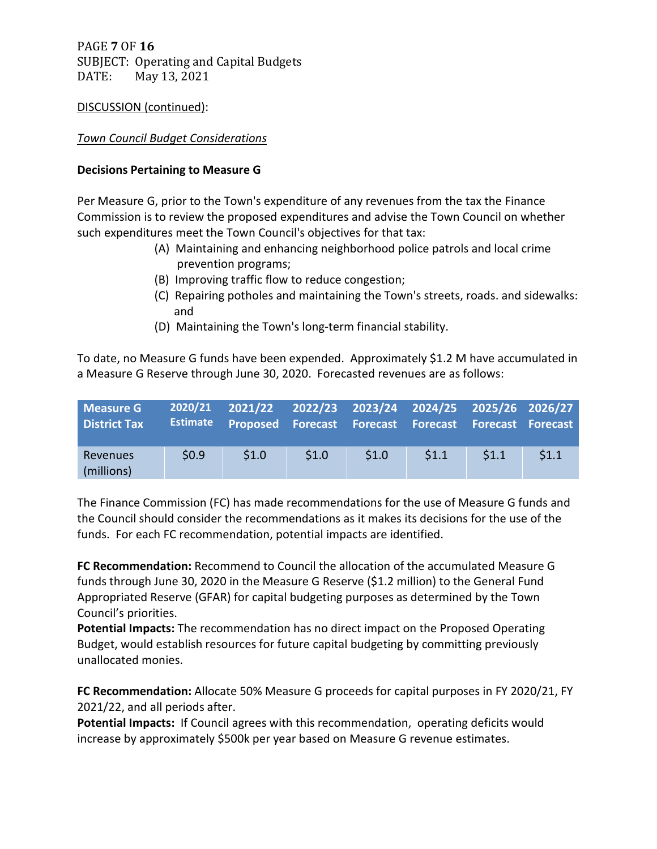PAGE **7** OF **16** SUBJECT: Operating and Capital Budgets<br>DATE: May 13, 2021 May 13, 2021

## DISCUSSION (continued):

## *Town Council Budget Considerations*

### **Decisions Pertaining to Measure G**

Per Measure G, prior to the Town's expenditure of any revenues from the tax the Finance Commission is to review the proposed expenditures and advise the Town Council on whether such expenditures meet the Town Council's objectives for that tax:

- (A) Maintaining and enhancing neighborhood police patrols and local crime prevention programs;
- (B) Improving traffic flow to reduce congestion;
- (C) Repairing potholes and maintaining the Town's streets, roads. and sidewalks: and
- (D) Maintaining the Town's long-term financial stability.

To date, no Measure G funds have been expended. Approximately \$1.2 M have accumulated in a Measure G Reserve through June 30, 2020. Forecasted revenues are as follows:

| Measure G<br><b>District Tax</b> | <b>Estimate</b> | 2020/21 2021/22 2022/23 2023/24 2024/25 2025/26 2026/27<br>Proposed Forecast Forecast Forecast Forecast Forecast |       |       |      |       |       |
|----------------------------------|-----------------|------------------------------------------------------------------------------------------------------------------|-------|-------|------|-------|-------|
| Revenues<br>(millions)           | \$0.9           | \$1.0                                                                                                            | \$1.0 | \$1.0 | 51.1 | \$1.1 | \$1.1 |

The Finance Commission (FC) has made recommendations for the use of Measure G funds and the Council should consider the recommendations as it makes its decisions for the use of the funds. For each FC recommendation, potential impacts are identified.

**FC Recommendation:** Recommend to Council the allocation of the accumulated Measure G funds through June 30, 2020 in the Measure G Reserve (\$1.2 million) to the General Fund Appropriated Reserve (GFAR) for capital budgeting purposes as determined by the Town Council's priorities.

**Potential Impacts:** The recommendation has no direct impact on the Proposed Operating Budget, would establish resources for future capital budgeting by committing previously unallocated monies.

**FC Recommendation:** Allocate 50% Measure G proceeds for capital purposes in FY 2020/21, FY 2021/22, and all periods after.

**Potential Impacts:** If Council agrees with this recommendation, operating deficits would increase by approximately \$500k per year based on Measure G revenue estimates.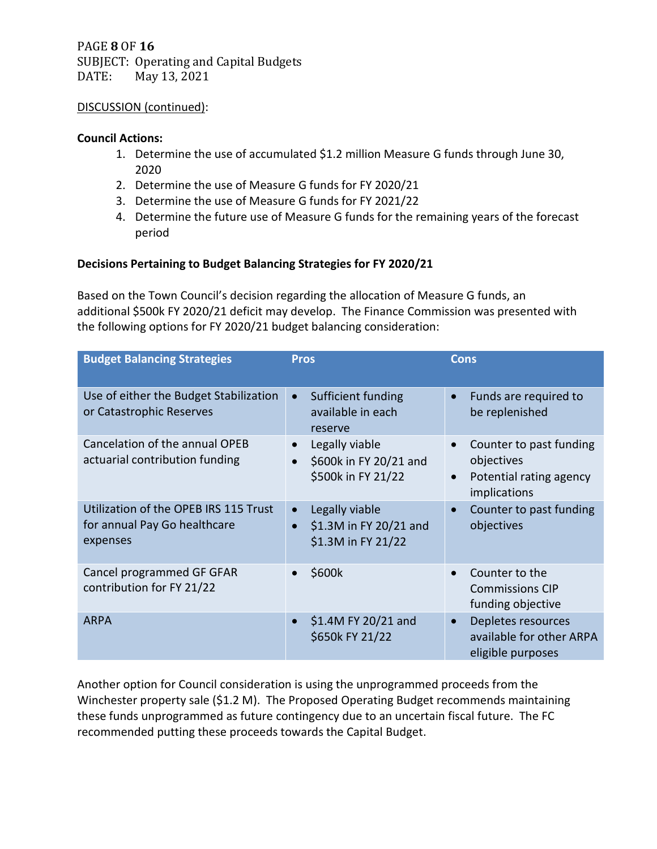PAGE **8** OF **16** SUBJECT: Operating and Capital Budgets<br>DATE: May 13, 2021 May 13, 2021

### DISCUSSION (continued):

### **Council Actions:**

- 1. Determine the use of accumulated \$1.2 million Measure G funds through June 30, 2020
- 2. Determine the use of Measure G funds for FY 2020/21
- 3. Determine the use of Measure G funds for FY 2021/22
- 4. Determine the future use of Measure G funds for the remaining years of the forecast period

# **Decisions Pertaining to Budget Balancing Strategies for FY 2020/21**

Based on the Town Council's decision regarding the allocation of Measure G funds, an additional \$500k FY 2020/21 deficit may develop. The Finance Commission was presented with the following options for FY 2020/21 budget balancing consideration:

| <b>Budget Balancing Strategies</b>                                                | <b>Pros</b>                                                    | <b>Cons</b>                                                                                                |
|-----------------------------------------------------------------------------------|----------------------------------------------------------------|------------------------------------------------------------------------------------------------------------|
| Use of either the Budget Stabilization<br>or Catastrophic Reserves                | Sufficient funding<br>available in each<br>reserve             | Funds are required to<br>$\bullet$<br>be replenished                                                       |
| Cancelation of the annual OPEB<br>actuarial contribution funding                  | Legally viable<br>\$600k in FY 20/21 and<br>\$500k in FY 21/22 | Counter to past funding<br>$\bullet$<br>objectives<br>Potential rating agency<br>$\bullet$<br>implications |
| Utilization of the OPEB IRS 115 Trust<br>for annual Pay Go healthcare<br>expenses | Legally viable<br>\$1.3M in FY 20/21 and<br>\$1.3M in FY 21/22 | Counter to past funding<br>$\bullet$<br>objectives                                                         |
| Cancel programmed GF GFAR<br>contribution for FY 21/22                            | \$600k                                                         | Counter to the<br>$\bullet$<br><b>Commissions CIP</b><br>funding objective                                 |
| <b>ARPA</b>                                                                       | \$1.4M FY 20/21 and<br>\$650k FY 21/22                         | Depletes resources<br>$\bullet$<br>available for other ARPA<br>eligible purposes                           |

Another option for Council consideration is using the unprogrammed proceeds from the Winchester property sale (\$1.2 M). The Proposed Operating Budget recommends maintaining these funds unprogrammed as future contingency due to an uncertain fiscal future. The FC recommended putting these proceeds towards the Capital Budget.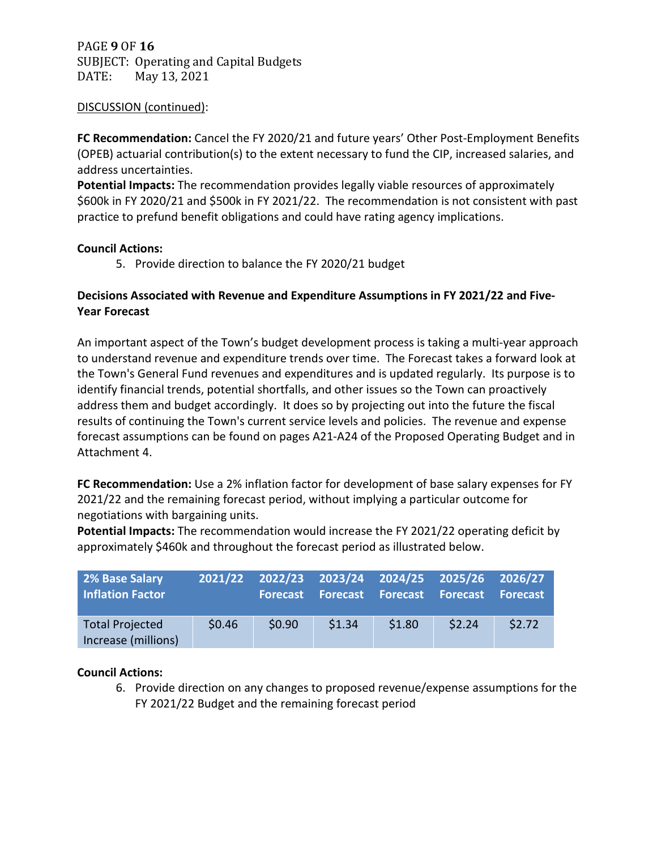PAGE **9** OF **16** SUBJECT: Operating and Capital Budgets<br>DATE: May 13, 2021 May 13, 2021

## DISCUSSION (continued):

**FC Recommendation:** Cancel the FY 2020/21 and future years' Other Post-Employment Benefits (OPEB) actuarial contribution(s) to the extent necessary to fund the CIP, increased salaries, and address uncertainties.

**Potential Impacts:** The recommendation provides legally viable resources of approximately \$600k in FY 2020/21 and \$500k in FY 2021/22. The recommendation is not consistent with past practice to prefund benefit obligations and could have rating agency implications.

### **Council Actions:**

5. Provide direction to balance the FY 2020/21 budget

# **Decisions Associated with Revenue and Expenditure Assumptions in FY 2021/22 and Five-Year Forecast**

An important aspect of the Town's budget development process is taking a multi-year approach to understand revenue and expenditure trends over time. The Forecast takes a forward look at the Town's General Fund revenues and expenditures and is updated regularly. Its purpose is to identify financial trends, potential shortfalls, and other issues so the Town can proactively address them and budget accordingly. It does so by projecting out into the future the fiscal results of continuing the Town's current service levels and policies. The revenue and expense forecast assumptions can be found on pages A21-A24 of the Proposed Operating Budget and in Attachment 4.

**FC Recommendation:** Use a 2% inflation factor for development of base salary expenses for FY 2021/22 and the remaining forecast period, without implying a particular outcome for negotiations with bargaining units.

**Potential Impacts:** The recommendation would increase the FY 2021/22 operating deficit by approximately \$460k and throughout the forecast period as illustrated below.

| 2% Base Salary<br><b>Inflation Factor</b>     |        | <b>Forecast</b> |        | <b>Forecast Forecast Forecast</b> | 2021/22 2022/23 2023/24 2024/25 2025/26 2026/27 | <b>Forecast</b> |
|-----------------------------------------------|--------|-----------------|--------|-----------------------------------|-------------------------------------------------|-----------------|
| <b>Total Projected</b><br>Increase (millions) | \$0.46 | \$0.90          | \$1.34 | \$1.80                            | 52.24                                           | \$2.72          |

## **Council Actions:**

6. Provide direction on any changes to proposed revenue/expense assumptions for the FY 2021/22 Budget and the remaining forecast period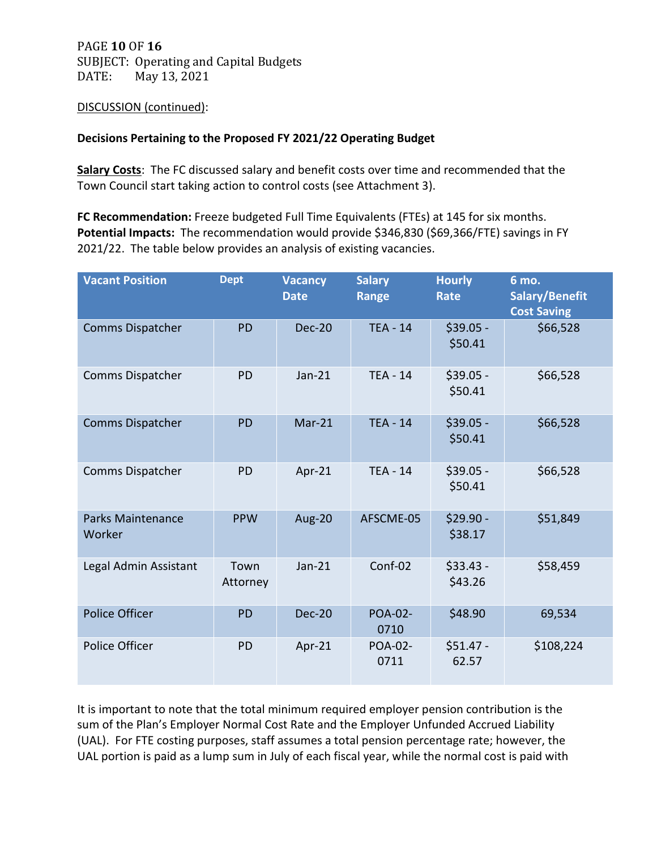PAGE **10** OF **16** SUBJECT: Operating and Capital Budgets<br>DATE: May 13, 2021 May 13, 2021

## DISCUSSION (continued):

## **Decisions Pertaining to the Proposed FY 2021/22 Operating Budget**

**Salary Costs**: The FC discussed salary and benefit costs over time and recommended that the Town Council start taking action to control costs (see Attachment 3).

**FC Recommendation:** Freeze budgeted Full Time Equivalents (FTEs) at 145 for six months. **Potential Impacts:** The recommendation would provide \$346,830 (\$69,366/FTE) savings in FY 2021/22. The table below provides an analysis of existing vacancies.

| <b>Vacant Position</b>             | <b>Dept</b>      | <b>Vacancy</b><br><b>Date</b> | <b>Salary</b><br><b>Range</b> | <b>Hourly</b><br><b>Rate</b> | 6 mo.<br>Salary/Benefit<br><b>Cost Saving</b> |
|------------------------------------|------------------|-------------------------------|-------------------------------|------------------------------|-----------------------------------------------|
| <b>Comms Dispatcher</b>            | <b>PD</b>        | $Dec-20$                      | $TEA - 14$                    | $$39.05 -$<br>\$50.41        | \$66,528                                      |
| Comms Dispatcher                   | <b>PD</b>        | $Jan-21$                      | <b>TEA - 14</b>               | $$39.05 -$<br>\$50.41        | \$66,528                                      |
| <b>Comms Dispatcher</b>            | <b>PD</b>        | $Mar-21$                      | <b>TEA - 14</b>               | $$39.05 -$<br>\$50.41        | \$66,528                                      |
| Comms Dispatcher                   | <b>PD</b>        | Apr-21                        | <b>TEA - 14</b>               | $$39.05 -$<br>\$50.41        | \$66,528                                      |
| <b>Parks Maintenance</b><br>Worker | <b>PPW</b>       | <b>Aug-20</b>                 | AFSCME-05                     | $$29.90 -$<br>\$38.17        | \$51,849                                      |
| Legal Admin Assistant              | Town<br>Attorney | $Jan-21$                      | Conf-02                       | $$33.43 -$<br>\$43.26        | \$58,459                                      |
| <b>Police Officer</b>              | <b>PD</b>        | <b>Dec-20</b>                 | <b>POA-02-</b><br>0710        | \$48.90                      | 69,534                                        |
| Police Officer                     | <b>PD</b>        | Apr-21                        | <b>POA-02-</b><br>0711        | $$51.47 -$<br>62.57          | \$108,224                                     |

It is important to note that the total minimum required employer pension contribution is the sum of the Plan's Employer Normal Cost Rate and the Employer Unfunded Accrued Liability (UAL). For FTE costing purposes, staff assumes a total pension percentage rate; however, the UAL portion is paid as a lump sum in July of each fiscal year, while the normal cost is paid with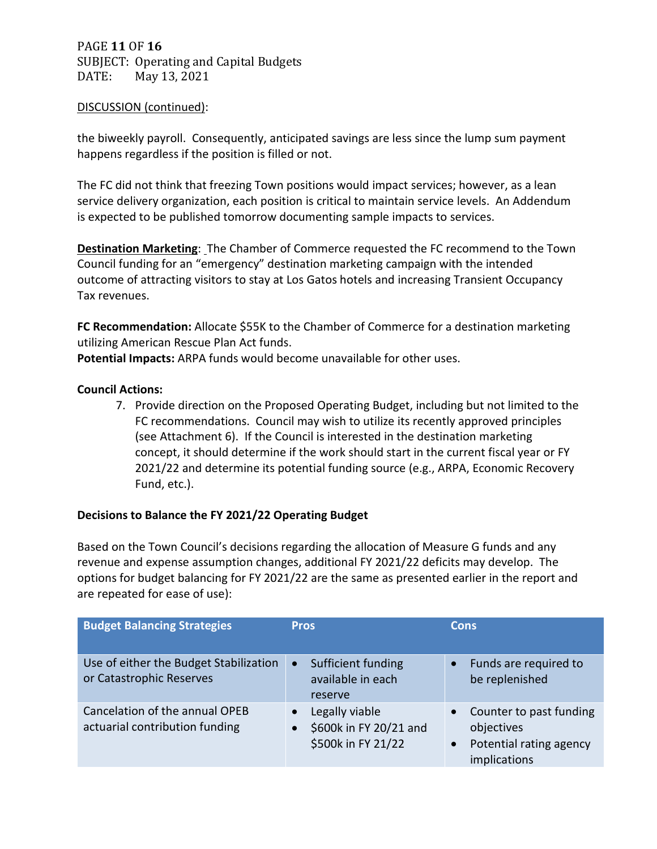PAGE **11** OF **16** SUBJECT: Operating and Capital Budgets<br>DATE: May 13, 2021 May 13, 2021

#### DISCUSSION (continued):

the biweekly payroll. Consequently, anticipated savings are less since the lump sum payment happens regardless if the position is filled or not.

The FC did not think that freezing Town positions would impact services; however, as a lean service delivery organization, each position is critical to maintain service levels. An Addendum is expected to be published tomorrow documenting sample impacts to services.

**Destination Marketing**: The Chamber of Commerce requested the FC recommend to the Town Council funding for an "emergency" destination marketing campaign with the intended outcome of attracting visitors to stay at Los Gatos hotels and increasing Transient Occupancy Tax revenues.

FC Recommendation: Allocate \$55K to the Chamber of Commerce for a destination marketing utilizing American Rescue Plan Act funds.

**Potential Impacts:** ARPA funds would become unavailable for other uses.

### **Council Actions:**

7. Provide direction on the Proposed Operating Budget, including but not limited to the FC recommendations. Council may wish to utilize its recently approved principles (see Attachment 6). If the Council is interested in the destination marketing concept, it should determine if the work should start in the current fiscal year or FY 2021/22 and determine its potential funding source (e.g., ARPA, Economic Recovery Fund, etc.).

## **Decisions to Balance the FY 2021/22 Operating Budget**

Based on the Town Council's decisions regarding the allocation of Measure G funds and any revenue and expense assumption changes, additional FY 2021/22 deficits may develop. The options for budget balancing for FY 2021/22 are the same as presented earlier in the report and are repeated for ease of use):

| <b>Budget Balancing Strategies</b>                                 | <b>Pros</b>                                                     | <b>Cons</b>                                                                                                |
|--------------------------------------------------------------------|-----------------------------------------------------------------|------------------------------------------------------------------------------------------------------------|
| Use of either the Budget Stabilization<br>or Catastrophic Reserves | Sufficient funding<br>$\bullet$<br>available in each<br>reserve | Funds are required to<br>$\bullet$<br>be replenished                                                       |
| Cancelation of the annual OPEB<br>actuarial contribution funding   | Legally viable<br>\$600k in FY 20/21 and<br>\$500k in FY 21/22  | Counter to past funding<br>$\bullet$<br>objectives<br>Potential rating agency<br>$\bullet$<br>implications |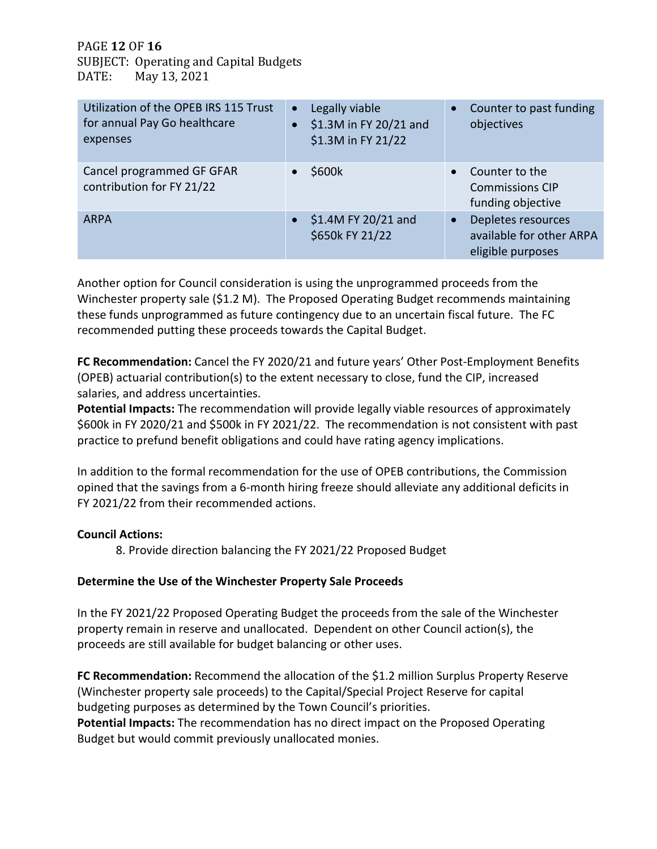PAGE **12** OF **16** SUBJECT: Operating and Capital Budgets<br>DATE: May 13, 2021 May 13, 2021

| Utilization of the OPEB IRS 115 Trust<br>for annual Pay Go healthcare<br>expenses | Legally viable<br>$\bullet$<br>\$1.3M in FY 20/21 and<br>\$1.3M in FY 21/22 | Counter to past funding<br>$\bullet$<br>objectives                               |
|-----------------------------------------------------------------------------------|-----------------------------------------------------------------------------|----------------------------------------------------------------------------------|
| Cancel programmed GF GFAR<br>contribution for FY 21/22                            | \$600k                                                                      | Counter to the<br>$\bullet$<br><b>Commissions CIP</b><br>funding objective       |
| <b>ARPA</b>                                                                       | \$1.4M FY 20/21 and<br>\$650k FY 21/22                                      | Depletes resources<br>$\bullet$<br>available for other ARPA<br>eligible purposes |

Another option for Council consideration is using the unprogrammed proceeds from the Winchester property sale (\$1.2 M). The Proposed Operating Budget recommends maintaining these funds unprogrammed as future contingency due to an uncertain fiscal future. The FC recommended putting these proceeds towards the Capital Budget.

**FC Recommendation:** Cancel the FY 2020/21 and future years' Other Post-Employment Benefits (OPEB) actuarial contribution(s) to the extent necessary to close, fund the CIP, increased salaries, and address uncertainties.

**Potential Impacts:** The recommendation will provide legally viable resources of approximately \$600k in FY 2020/21 and \$500k in FY 2021/22. The recommendation is not consistent with past practice to prefund benefit obligations and could have rating agency implications.

In addition to the formal recommendation for the use of OPEB contributions, the Commission opined that the savings from a 6-month hiring freeze should alleviate any additional deficits in FY 2021/22 from their recommended actions.

## **Council Actions:**

8. Provide direction balancing the FY 2021/22 Proposed Budget

## **Determine the Use of the Winchester Property Sale Proceeds**

In the FY 2021/22 Proposed Operating Budget the proceeds from the sale of the Winchester property remain in reserve and unallocated. Dependent on other Council action(s), the proceeds are still available for budget balancing or other uses.

**FC Recommendation:** Recommend the allocation of the \$1.2 million Surplus Property Reserve (Winchester property sale proceeds) to the Capital/Special Project Reserve for capital budgeting purposes as determined by the Town Council's priorities. **Potential Impacts:** The recommendation has no direct impact on the Proposed Operating Budget but would commit previously unallocated monies.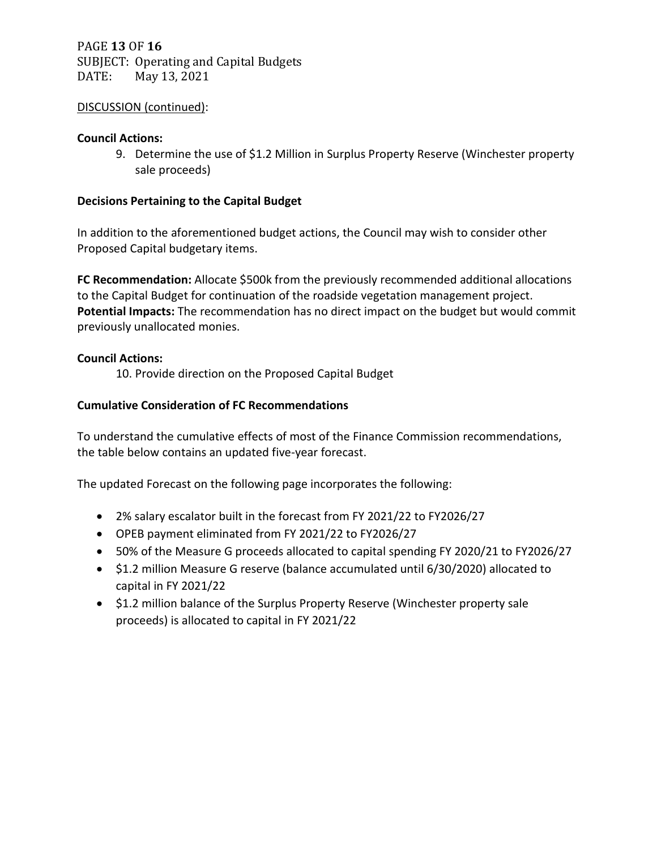PAGE **13** OF **16** SUBJECT: Operating and Capital Budgets<br>DATE: May 13, 2021 May 13, 2021

## DISCUSSION (continued):

#### **Council Actions:**

9. Determine the use of \$1.2 Million in Surplus Property Reserve (Winchester property sale proceeds)

## **Decisions Pertaining to the Capital Budget**

In addition to the aforementioned budget actions, the Council may wish to consider other Proposed Capital budgetary items.

**FC Recommendation:** Allocate \$500k from the previously recommended additional allocations to the Capital Budget for continuation of the roadside vegetation management project. **Potential Impacts:** The recommendation has no direct impact on the budget but would commit previously unallocated monies.

### **Council Actions:**

10. Provide direction on the Proposed Capital Budget

## **Cumulative Consideration of FC Recommendations**

To understand the cumulative effects of most of the Finance Commission recommendations, the table below contains an updated five-year forecast.

The updated Forecast on the following page incorporates the following:

- 2% salary escalator built in the forecast from FY 2021/22 to FY2026/27
- OPEB payment eliminated from FY 2021/22 to FY2026/27
- 50% of the Measure G proceeds allocated to capital spending FY 2020/21 to FY2026/27
- \$1.2 million Measure G reserve (balance accumulated until 6/30/2020) allocated to capital in FY 2021/22
- \$1.2 million balance of the Surplus Property Reserve (Winchester property sale proceeds) is allocated to capital in FY 2021/22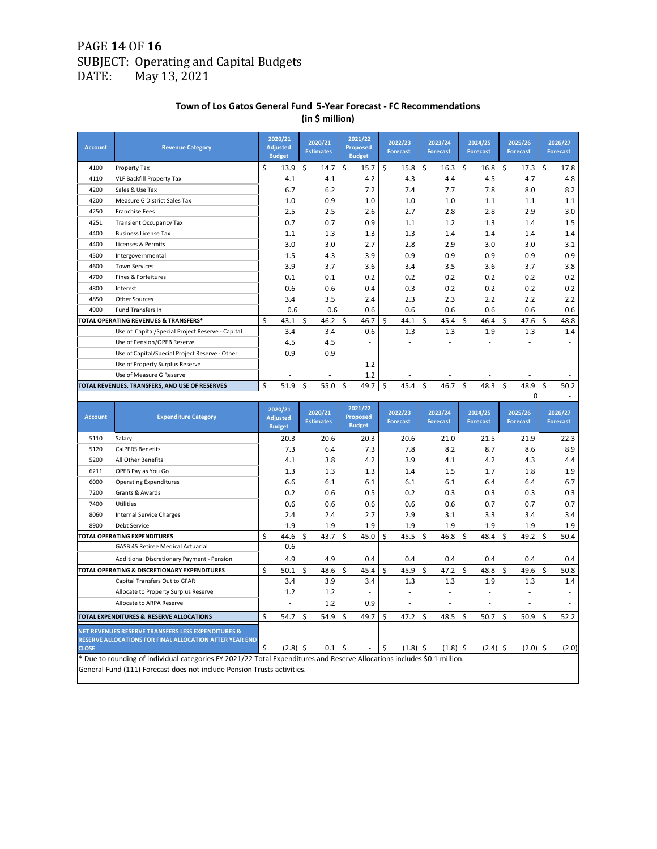# PAGE **14** OF **16** SUBJECT: Operating and Capital Budgets<br>DATE: May 13, 2021 May 13, 2021

#### **Town of Los Gatos General Fund 5-Year Forecast - FC Recommendations (in \$ million)**

| <b>Account</b> | <b>Revenue Category</b>                                                                                                  |    | 2020/21<br><b>Adjusted</b><br><b>Budget</b> | 2020/21<br><b>Estimates</b> | 2021/22<br><b>Proposed</b><br><b>Budget</b> | 2022/23<br><b>Forecast</b> | 2023/24<br><b>Forecast</b> | 2024/25<br><b>Forecast</b> |    | 2025/26<br><b>Forecast</b> |    | 2026/27<br><b>Forecast</b> |
|----------------|--------------------------------------------------------------------------------------------------------------------------|----|---------------------------------------------|-----------------------------|---------------------------------------------|----------------------------|----------------------------|----------------------------|----|----------------------------|----|----------------------------|
| 4100           | Property Tax                                                                                                             | \$ | 13.9                                        | \$<br>14.7                  | \$<br>15.7                                  | \$<br>15.8                 | \$<br>16.3                 | \$<br>16.8                 | \$ | 17.3                       | \$ | 17.8                       |
| 4110           | VLF Backfill Property Tax                                                                                                |    | 4.1                                         | 4.1                         | 4.2                                         | 4.3                        | 4.4                        | 4.5                        |    | 4.7                        |    | 4.8                        |
| 4200           | Sales & Use Tax                                                                                                          |    | 6.7                                         | 6.2                         | 7.2                                         | 7.4                        | 7.7                        | 7.8                        |    | 8.0                        |    | 8.2                        |
| 4200           | Measure G District Sales Tax                                                                                             |    | 1.0                                         | 0.9                         | 1.0                                         | 1.0                        | 1.0                        | 1.1                        |    | 1.1                        |    | 1.1                        |
| 4250           | <b>Franchise Fees</b>                                                                                                    |    | 2.5                                         | 2.5                         | 2.6                                         | 2.7                        | 2.8                        | 2.8                        |    | 2.9                        |    | 3.0                        |
| 4251           | <b>Transient Occupancy Tax</b>                                                                                           |    | 0.7                                         | 0.7                         | 0.9                                         | 1.1                        | 1.2                        | 1.3                        |    | 1.4                        |    | 1.5                        |
| 4400           | <b>Business License Tax</b>                                                                                              |    | 1.1                                         | 1.3                         | 1.3                                         | 1.3                        | 1.4                        | 1.4                        |    | 1.4                        |    | 1.4                        |
| 4400           | Licenses & Permits                                                                                                       |    | 3.0                                         | 3.0                         | 2.7                                         | 2.8                        | 2.9                        | 3.0                        |    | 3.0                        |    | 3.1                        |
| 4500           | Intergovernmental                                                                                                        |    | 1.5                                         | 4.3                         | 3.9                                         | 0.9                        | 0.9                        | 0.9                        |    | 0.9                        |    | 0.9                        |
| 4600           | <b>Town Services</b>                                                                                                     |    | 3.9                                         | 3.7                         | 3.6                                         | 3.4                        | 3.5                        | 3.6                        |    | 3.7                        |    | 3.8                        |
| 4700           | Fines & Forfeitures                                                                                                      |    | 0.1                                         | 0.1                         | 0.2                                         | 0.2                        | 0.2                        | 0.2                        |    | 0.2                        |    | 0.2                        |
| 4800           | Interest                                                                                                                 |    | 0.6                                         | 0.6                         | 0.4                                         | 0.3                        | 0.2                        | 0.2                        |    | 0.2                        |    | 0.2                        |
| 4850           | <b>Other Sources</b>                                                                                                     |    | 3.4                                         | 3.5                         | 2.4                                         | 2.3                        | 2.3                        | 2.2                        |    | 2.2                        |    | 2.2                        |
| 4900           | Fund Transfers In                                                                                                        |    | 0.6                                         | 0.6                         | 0.6                                         | 0.6                        | 0.6                        | 0.6                        |    | 0.6                        |    | 0.6                        |
|                | TOTAL OPERATING REVENUES & TRANSFERS*                                                                                    | Ś  | 43.1                                        | \$<br>46.2                  | 46.7<br>\$                                  | \$<br>44.1                 | \$<br>45.4                 | \$<br>46.4                 | \$ | 47.6                       | \$ | 48.8                       |
|                | Use of Capital/Special Project Reserve - Capital                                                                         |    | 3.4                                         | 3.4                         | 0.6                                         | 1.3                        | 1.3                        | 1.9                        |    | 1.3                        |    | 1.4                        |
|                | Use of Pension/OPEB Reserve                                                                                              |    | 4.5                                         | 4.5                         |                                             |                            |                            |                            |    |                            |    |                            |
|                | Use of Capital/Special Project Reserve - Other                                                                           |    | 0.9                                         | 0.9                         |                                             |                            |                            |                            |    |                            |    |                            |
|                | Use of Property Surplus Reserve                                                                                          |    |                                             |                             | 1.2                                         |                            |                            |                            |    |                            |    |                            |
|                | Use of Measure G Reserve                                                                                                 | Ś  | 51.9                                        | \$<br>55.0                  | 1.2<br>Ś<br>49.7                            | \$<br>45.4                 | \$<br>46.7                 | \$<br>48.3                 | Ś  | 48.9                       | Ś  | 50.2                       |
|                | TOTAL REVENUES, TRANSFERS, AND USE OF RESERVES                                                                           |    |                                             |                             |                                             |                            |                            |                            |    | 0                          |    | $\sim$                     |
|                |                                                                                                                          |    |                                             |                             | 2021/22                                     |                            |                            |                            |    |                            |    |                            |
|                |                                                                                                                          |    | 2020/21                                     |                             |                                             |                            |                            |                            |    |                            |    | 2026/27                    |
| <b>Account</b> | <b>Expenditure Category</b>                                                                                              |    | <b>Adjusted</b><br><b>Budget</b>            | 2020/21<br><b>Estimates</b> | <b>Proposed</b><br><b>Budget</b>            | 2022/23<br><b>Forecast</b> | 2023/24<br><b>Forecast</b> | 2024/25<br><b>Forecast</b> |    | 2025/26<br><b>Forecast</b> |    | <b>Forecast</b>            |
| 5110           | Salary                                                                                                                   |    | 20.3                                        | 20.6                        | 20.3                                        | 20.6                       | 21.0                       | 21.5                       |    | 21.9                       |    | 22.3                       |
| 5120           | <b>CalPERS Benefits</b>                                                                                                  |    | 7.3                                         | 6.4                         | 7.3                                         | 7.8                        | 8.2                        | 8.7                        |    | 8.6                        |    | 8.9                        |
| 5200           | All Other Benefits                                                                                                       |    | 4.1                                         | 3.8                         | 4.2                                         | 3.9                        | 4.1                        | 4.2                        |    | 4.3                        |    | 4.4                        |
| 6211           | OPEB Pay as You Go                                                                                                       |    | 1.3                                         | 1.3                         | 1.3                                         | 1.4                        | 1.5                        | 1.7                        |    | 1.8                        |    | 1.9                        |
| 6000           | <b>Operating Expenditures</b>                                                                                            |    | 6.6                                         | 6.1                         | 6.1                                         | 6.1                        | 6.1                        | 6.4                        |    | 6.4                        |    | 6.7                        |
| 7200           | Grants & Awards                                                                                                          |    | 0.2                                         | 0.6                         | 0.5                                         | 0.2                        | 0.3                        | 0.3                        |    | 0.3                        |    | 0.3                        |
| 7400           | Utilities                                                                                                                |    | 0.6                                         | 0.6                         | 0.6                                         | 0.6                        | 0.6                        | 0.7                        |    | 0.7                        |    | 0.7                        |
| 8060           | <b>Internal Service Charges</b>                                                                                          |    | 2.4                                         | 2.4                         | 2.7                                         | 2.9                        | 3.1                        | 3.3                        |    | 3.4                        |    | 3.4                        |
| 8900           | Debt Service                                                                                                             |    | 1.9                                         | 1.9                         | 1.9                                         | 1.9                        | 1.9                        | 1.9                        |    | 1.9                        |    | 1.9                        |
|                | TOTAL OPERATING EXPENDITURES                                                                                             | \$ | 44.6                                        | \$<br>43.7                  | \$<br>45.0                                  | \$<br>45.5                 | \$<br>46.8                 | \$<br>48.4                 | \$ | 49.2                       | \$ | 50.4                       |
|                | GASB 45 Retiree Medical Actuarial                                                                                        |    | 0.6                                         | ÷,                          | ÷,                                          | ä,                         | ä,                         |                            |    |                            |    | ÷,                         |
|                | Additional Discretionary Payment - Pension                                                                               |    | 4.9                                         | 4.9                         | 0.4                                         | 0.4                        | 0.4                        | 0.4                        |    | 0.4                        |    | 0.4                        |
|                | TOTAL OPERATING & DISCRETIONARY EXPENDITURES                                                                             | \$ | 50.1                                        | \$<br>48.6                  | \$<br>45.4                                  | \$<br>45.9                 | \$<br>47.2                 | \$<br>48.8                 | \$ | 49.6                       | \$ | 50.8                       |
|                | Capital Transfers Out to GFAR                                                                                            |    | 3.4                                         | 3.9                         | 3.4                                         | 1.3                        | 1.3                        | 1.9                        |    | 1.3                        |    | 1.4                        |
|                | Allocate to Property Surplus Reserve                                                                                     |    | 1.2                                         | 1.2                         |                                             | ä,                         |                            |                            |    |                            |    | ä,                         |
|                | Allocate to ARPA Reserve                                                                                                 |    |                                             | 1.2                         | 0.9                                         | ä,                         |                            |                            |    |                            |    | $\sim$                     |
|                | TOTAL EXPENDITURES & RESERVE ALLOCATIONS                                                                                 | \$ | 54.7                                        | \$<br>54.9                  | \$<br>49.7                                  | \$<br>47.2                 | \$<br>48.5                 | \$<br>50.7                 | \$ | 50.9                       | \$ | 52.2                       |
|                | NET REVENUES RESERVE TRANSFERS LESS EXPENDITURES &                                                                       |    |                                             |                             |                                             |                            |                            |                            |    |                            |    |                            |
|                | RESERVE ALLOCATIONS FOR FINAL ALLOCATION AFTER YEAR END                                                                  |    |                                             |                             |                                             |                            |                            |                            |    |                            |    |                            |
| <b>CLOSE</b>   | * Due to rounding of individual categories FY 2021/22 Total Expenditures and Reserve Allocations includes \$0.1 million. | \$ | $(2.8)$ \$                                  | 0.1                         | \$                                          | \$<br>$(1.8)$ \$           | $(1.8)$ \$                 | $(2.4)$ \$                 |    | $(2.0)$ \$                 |    | (2.0)                      |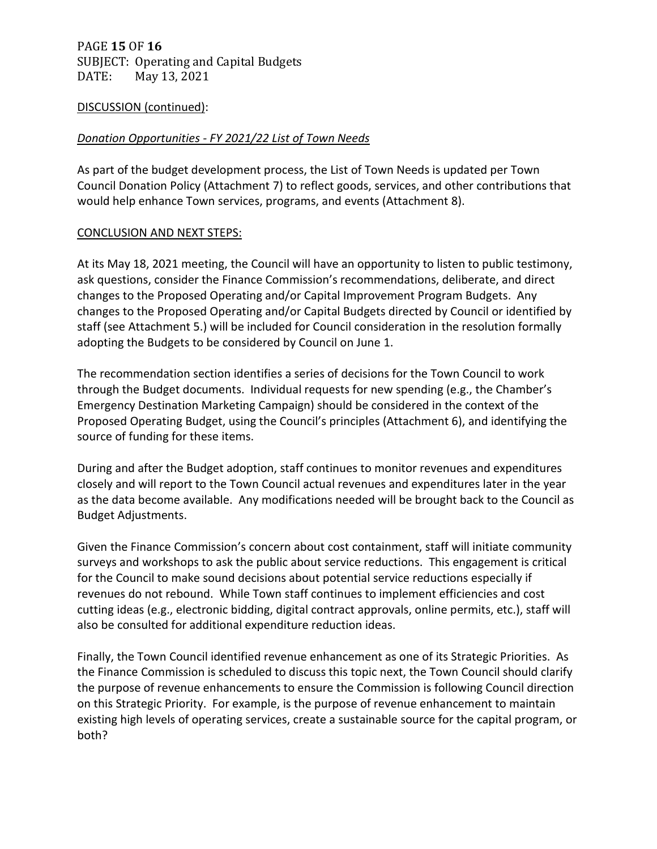# PAGE **15** OF **16** SUBJECT: Operating and Capital Budgets<br>DATE: May 13, 2021 May 13, 2021

### DISCUSSION (continued):

## *Donation Opportunities - FY 2021/22 List of Town Needs*

As part of the budget development process, the List of Town Needs is updated per Town Council Donation Policy (Attachment 7) to reflect goods, services, and other contributions that would help enhance Town services, programs, and events (Attachment 8).

### CONCLUSION AND NEXT STEPS:

At its May 18, 2021 meeting, the Council will have an opportunity to listen to public testimony, ask questions, consider the Finance Commission's recommendations, deliberate, and direct changes to the Proposed Operating and/or Capital Improvement Program Budgets. Any changes to the Proposed Operating and/or Capital Budgets directed by Council or identified by staff (see Attachment 5.) will be included for Council consideration in the resolution formally adopting the Budgets to be considered by Council on June 1.

The recommendation section identifies a series of decisions for the Town Council to work through the Budget documents. Individual requests for new spending (e.g., the Chamber's Emergency Destination Marketing Campaign) should be considered in the context of the Proposed Operating Budget, using the Council's principles (Attachment 6), and identifying the source of funding for these items.

During and after the Budget adoption, staff continues to monitor revenues and expenditures closely and will report to the Town Council actual revenues and expenditures later in the year as the data become available. Any modifications needed will be brought back to the Council as Budget Adjustments.

Given the Finance Commission's concern about cost containment, staff will initiate community surveys and workshops to ask the public about service reductions. This engagement is critical for the Council to make sound decisions about potential service reductions especially if revenues do not rebound. While Town staff continues to implement efficiencies and cost cutting ideas (e.g., electronic bidding, digital contract approvals, online permits, etc.), staff will also be consulted for additional expenditure reduction ideas.

Finally, the Town Council identified revenue enhancement as one of its Strategic Priorities. As the Finance Commission is scheduled to discuss this topic next, the Town Council should clarify the purpose of revenue enhancements to ensure the Commission is following Council direction on this Strategic Priority. For example, is the purpose of revenue enhancement to maintain existing high levels of operating services, create a sustainable source for the capital program, or both?